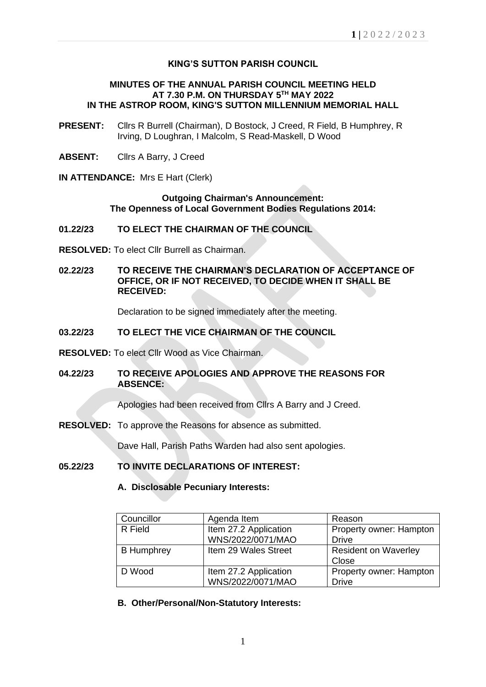# **KING'S SUTTON PARISH COUNCIL**

#### **MINUTES OF THE ANNUAL PARISH COUNCIL MEETING HELD AT 7.30 P.M. ON THURSDAY 5 TH MAY 2022 IN THE ASTROP ROOM, KING'S SUTTON MILLENNIUM MEMORIAL HALL**

- **PRESENT:** Cllrs R Burrell (Chairman), D Bostock, J Creed, R Field, B Humphrey, R Irving, D Loughran, I Malcolm, S Read-Maskell, D Wood
- **ABSENT:** Cllrs A Barry, J Creed
- **IN ATTENDANCE:** Mrs E Hart (Clerk)

#### **Outgoing Chairman's Announcement: The Openness of Local Government Bodies Regulations 2014:**

- **01.22/23 TO ELECT THE CHAIRMAN OF THE COUNCIL**
- **RESOLVED:** To elect Cllr Burrell as Chairman.
- **02.22/23 TO RECEIVE THE CHAIRMAN'S DECLARATION OF ACCEPTANCE OF OFFICE, OR IF NOT RECEIVED, TO DECIDE WHEN IT SHALL BE RECEIVED:**

Declaration to be signed immediately after the meeting.

### **03.22/23 TO ELECT THE VICE CHAIRMAN OF THE COUNCIL**

- **RESOLVED:** To elect Cllr Wood as Vice Chairman.
- **04.22/23 TO RECEIVE APOLOGIES AND APPROVE THE REASONS FOR ABSENCE:**

Apologies had been received from Cllrs A Barry and J Creed.

**RESOLVED:** To approve the Reasons for absence as submitted.

Dave Hall, Parish Paths Warden had also sent apologies.

# **05.22/23 TO INVITE DECLARATIONS OF INTEREST:**

#### **A. Disclosable Pecuniary Interests:**

| Councillor        | Agenda Item           | Reason                      |
|-------------------|-----------------------|-----------------------------|
| R Field           | Item 27.2 Application | Property owner: Hampton     |
|                   | WNS/2022/0071/MAO     | <b>Drive</b>                |
| <b>B</b> Humphrey | Item 29 Wales Street  | <b>Resident on Waverley</b> |
|                   |                       | Close                       |
| D Wood            | Item 27.2 Application | Property owner: Hampton     |
|                   | WNS/2022/0071/MAO     | <b>Drive</b>                |

**B. Other/Personal/Non-Statutory Interests:**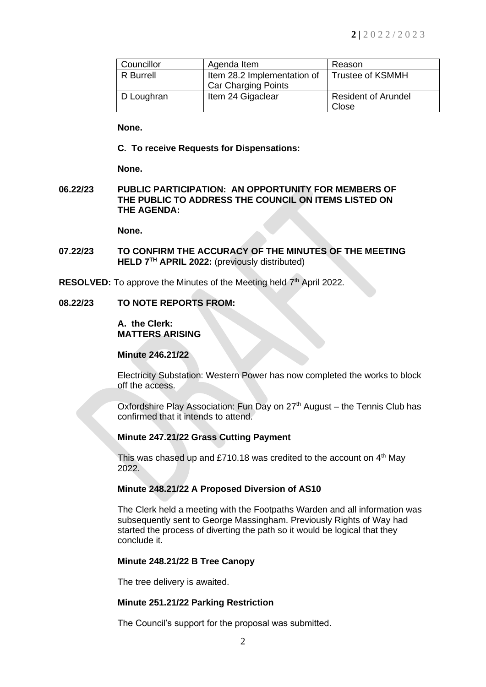| Councillor | Agenda Item                                               | Reason                              |
|------------|-----------------------------------------------------------|-------------------------------------|
| R Burrell  | Item 28.2 Implementation of<br><b>Car Charging Points</b> | <b>Trustee of KSMMH</b>             |
| D Loughran | Item 24 Gigaclear                                         | <b>Resident of Arundel</b><br>Close |

**None.** 

### **C. To receive Requests for Dispensations:**

**None.**

### **06.22/23 PUBLIC PARTICIPATION: AN OPPORTUNITY FOR MEMBERS OF THE PUBLIC TO ADDRESS THE COUNCIL ON ITEMS LISTED ON THE AGENDA:**

**None.**

- **07.22/23 TO CONFIRM THE ACCURACY OF THE MINUTES OF THE MEETING HELD 7 TH APRIL 2022:** (previously distributed)
- RESOLVED: To approve the Minutes of the Meeting held 7<sup>th</sup> April 2022.

# **08.22/23 TO NOTE REPORTS FROM:**

#### **A. the Clerk: MATTERS ARISING**

### **Minute 246.21/22**

Electricity Substation: Western Power has now completed the works to block off the access.

Oxfordshire Play Association: Fun Day on 27<sup>th</sup> August – the Tennis Club has confirmed that it intends to attend.

#### **Minute 247.21/22 Grass Cutting Payment**

This was chased up and £710.18 was credited to the account on  $4<sup>th</sup>$  May 2022.

# **Minute 248.21/22 A Proposed Diversion of AS10**

The Clerk held a meeting with the Footpaths Warden and all information was subsequently sent to George Massingham. Previously Rights of Way had started the process of diverting the path so it would be logical that they conclude it.

#### **Minute 248.21/22 B Tree Canopy**

The tree delivery is awaited.

#### **Minute 251.21/22 Parking Restriction**

The Council's support for the proposal was submitted.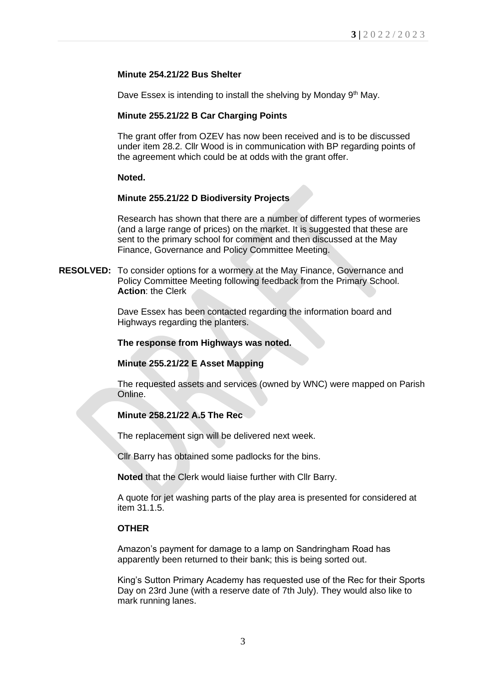# **Minute 254.21/22 Bus Shelter**

Dave Essex is intending to install the shelving by Monday 9<sup>th</sup> May.

# **Minute 255.21/22 B Car Charging Points**

The grant offer from OZEV has now been received and is to be discussed under item 28.2. Cllr Wood is in communication with BP regarding points of the agreement which could be at odds with the grant offer.

# **Noted.**

# **Minute 255.21/22 D Biodiversity Projects**

Research has shown that there are a number of different types of wormeries (and a large range of prices) on the market. It is suggested that these are sent to the primary school for comment and then discussed at the May Finance, Governance and Policy Committee Meeting.

**RESOLVED:** To consider options for a wormery at the May Finance, Governance and Policy Committee Meeting following feedback from the Primary School. **Action**: the Clerk

> Dave Essex has been contacted regarding the information board and Highways regarding the planters.

### **The response from Highways was noted.**

# **Minute 255.21/22 E Asset Mapping**

The requested assets and services (owned by WNC) were mapped on Parish Online.

# **Minute 258.21/22 A.5 The Rec**

The replacement sign will be delivered next week.

Cllr Barry has obtained some padlocks for the bins.

**Noted** that the Clerk would liaise further with Cllr Barry.

A quote for jet washing parts of the play area is presented for considered at item 31.1.5.

# **OTHER**

Amazon's payment for damage to a lamp on Sandringham Road has apparently been returned to their bank; this is being sorted out.

King's Sutton Primary Academy has requested use of the Rec for their Sports Day on 23rd June (with a reserve date of 7th July). They would also like to mark running lanes.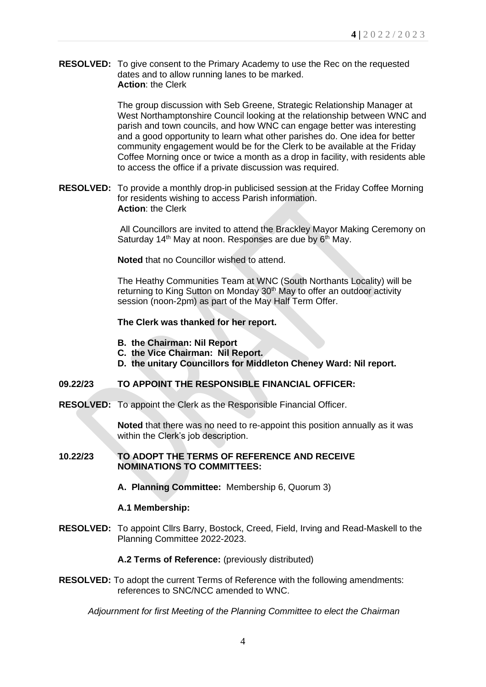**RESOLVED:** To give consent to the Primary Academy to use the Rec on the requested dates and to allow running lanes to be marked. **Action**: the Clerk

> The group discussion with Seb Greene, Strategic Relationship Manager at West Northamptonshire Council looking at the relationship between WNC and parish and town councils, and how WNC can engage better was interesting and a good opportunity to learn what other parishes do. One idea for better community engagement would be for the Clerk to be available at the Friday Coffee Morning once or twice a month as a drop in facility, with residents able to access the office if a private discussion was required.

**RESOLVED:** To provide a monthly drop-in publicised session at the Friday Coffee Morning for residents wishing to access Parish information. **Action**: the Clerk

> All Councillors are invited to attend the Brackley Mayor Making Ceremony on Saturday 14<sup>th</sup> May at noon. Responses are due by 6<sup>th</sup> May.

**Noted** that no Councillor wished to attend.

The Heathy Communities Team at WNC (South Northants Locality) will be returning to King Sutton on Monday 30<sup>th</sup> May to offer an outdoor activity session (noon-2pm) as part of the May Half Term Offer.

### **The Clerk was thanked for her report.**

- **B. the Chairman: Nil Report**
- **C. the Vice Chairman: Nil Report.**
- **D. the unitary Councillors for Middleton Cheney Ward: Nil report.**

# **09.22/23 TO APPOINT THE RESPONSIBLE FINANCIAL OFFICER:**

**RESOLVED:** To appoint the Clerk as the Responsible Financial Officer.

**Noted** that there was no need to re-appoint this position annually as it was within the Clerk's job description.

#### **10.22/23 TO ADOPT THE TERMS OF REFERENCE AND RECEIVE NOMINATIONS TO COMMITTEES:**

**A. Planning Committee:** Membership 6, Quorum 3)

#### **A.1 Membership:**

**RESOLVED:** To appoint Cllrs Barry, Bostock, Creed, Field, Irving and Read-Maskell to the Planning Committee 2022-2023.

**A.2 Terms of Reference:** (previously distributed)

**RESOLVED:** To adopt the current Terms of Reference with the following amendments: references to SNC/NCC amended to WNC.

*Adjournment for first Meeting of the Planning Committee to elect the Chairman*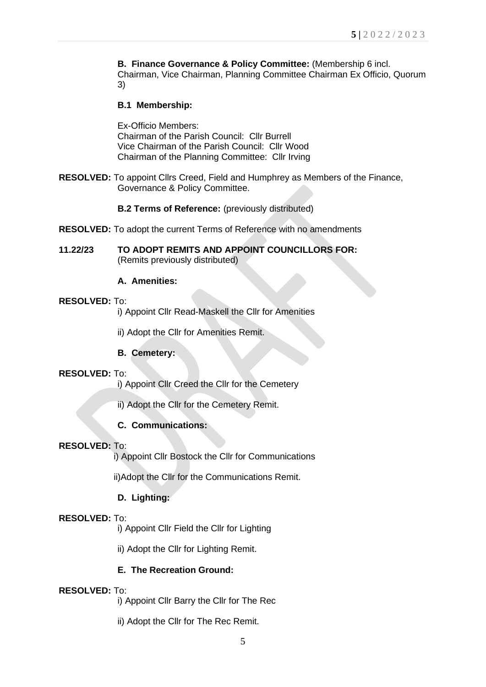**B. Finance Governance & Policy Committee:** (Membership 6 incl. Chairman, Vice Chairman, Planning Committee Chairman Ex Officio, Quorum 3)

# **B.1 Membership:**

Ex-Officio Members: Chairman of the Parish Council: Cllr Burrell Vice Chairman of the Parish Council: Cllr Wood Chairman of the Planning Committee: Cllr Irving

**RESOLVED:** To appoint Cllrs Creed, Field and Humphrey as Members of the Finance, Governance & Policy Committee.

**B.2 Terms of Reference:** (previously distributed)

- **RESOLVED:** To adopt the current Terms of Reference with no amendments
- **11.22/23 TO ADOPT REMITS AND APPOINT COUNCILLORS FOR:** (Remits previously distributed)

# **A. Amenities:**

### **RESOLVED:** To:

i) Appoint Cllr Read-Maskell the Cllr for Amenities

ii) Adopt the Cllr for Amenities Remit.

**B. Cemetery:**

#### **RESOLVED:** To:

i) Appoint Cllr Creed the Cllr for the Cemetery

ii) Adopt the Cllr for the Cemetery Remit.

# **C. Communications:**

# **RESOLVED:** To:

i) Appoint Cllr Bostock the Cllr for Communications

ii)Adopt the Cllr for the Communications Remit.

# **D. Lighting:**

#### **RESOLVED:** To:

i) Appoint Cllr Field the Cllr for Lighting

ii) Adopt the Cllr for Lighting Remit.

# **E. The Recreation Ground:**

#### **RESOLVED:** To:

i) Appoint Cllr Barry the Cllr for The Rec

ii) Adopt the Cllr for The Rec Remit.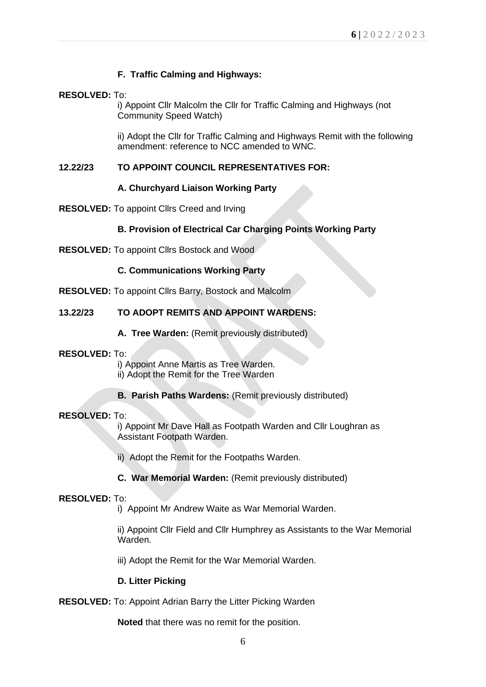# **F. Traffic Calming and Highways:**

# **RESOLVED:** To:

i) Appoint Cllr Malcolm the Cllr for Traffic Calming and Highways (not Community Speed Watch)

ii) Adopt the Cllr for Traffic Calming and Highways Remit with the following amendment: reference to NCC amended to WNC.

# **12.22/23 TO APPOINT COUNCIL REPRESENTATIVES FOR:**

# **A. Churchyard Liaison Working Party**

**RESOLVED:** To appoint Cllrs Creed and Irving

# **B. Provision of Electrical Car Charging Points Working Party**

**RESOLVED:** To appoint Cllrs Bostock and Wood

### **C. Communications Working Party**

**RESOLVED:** To appoint Cllrs Barry, Bostock and Malcolm

# **13.22/23 TO ADOPT REMITS AND APPOINT WARDENS:**

**A. Tree Warden:** (Remit previously distributed)

#### **RESOLVED:** To:

i) Appoint Anne Martis as Tree Warden. ii) Adopt the Remit for the Tree Warden

**B. Parish Paths Wardens: (Remit previously distributed)** 

#### **RESOLVED:** To:

i) Appoint Mr Dave Hall as Footpath Warden and Cllr Loughran as Assistant Footpath Warden.

- ii) Adopt the Remit for the Footpaths Warden.
- **C. War Memorial Warden:** (Remit previously distributed)

#### **RESOLVED:** To:

i) Appoint Mr Andrew Waite as War Memorial Warden.

ii) Appoint Cllr Field and Cllr Humphrey as Assistants to the War Memorial Warden.

iii) Adopt the Remit for the War Memorial Warden.

#### **D. Litter Picking**

**RESOLVED:** To: Appoint Adrian Barry the Litter Picking Warden

**Noted** that there was no remit for the position.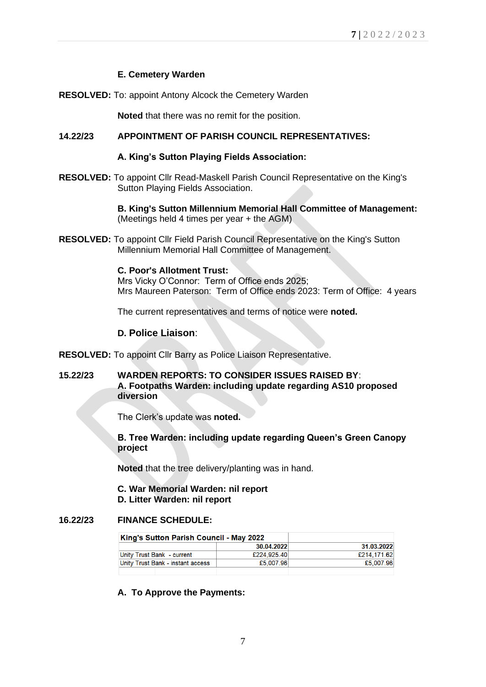# **E. Cemetery Warden**

**RESOLVED:** To: appoint Antony Alcock the Cemetery Warden

**Noted** that there was no remit for the position.

### **14.22/23 APPOINTMENT OF PARISH COUNCIL REPRESENTATIVES:**

#### **A. King's Sutton Playing Fields Association:**

**RESOLVED:** To appoint Cllr Read-Maskell Parish Council Representative on the King's Sutton Playing Fields Association.

> **B. King's Sutton Millennium Memorial Hall Committee of Management:** (Meetings held 4 times per year + the AGM)

**RESOLVED:** To appoint Cllr Field Parish Council Representative on the King's Sutton Millennium Memorial Hall Committee of Management.

#### **C. Poor's Allotment Trust:**

Mrs Vicky O'Connor: Term of Office ends 2025; Mrs Maureen Paterson: Term of Office ends 2023: Term of Office: 4 years

The current representatives and terms of notice were **noted.**

### **D. Police Liaison**:

- **RESOLVED:** To appoint Cllr Barry as Police Liaison Representative.
- **15.22/23 WARDEN REPORTS: TO CONSIDER ISSUES RAISED BY**: **A. Footpaths Warden: including update regarding AS10 proposed diversion**

The Clerk's update was **noted.**

**B. Tree Warden: including update regarding Queen's Green Canopy project**

**Noted** that the tree delivery/planting was in hand.

#### **C. War Memorial Warden: nil report D. Litter Warden: nil report**

# **16.22/23 FINANCE SCHEDULE:**

| King's Sutton Parish Council - May 2022 |             |             |
|-----------------------------------------|-------------|-------------|
|                                         | 30.04.2022  | 31.03.2022  |
| Unity Trust Bank - current              | £224,925.40 | £214,171.62 |
| Unity Trust Bank - instant access       | £5.007.96   | £5,007.96   |

**A. To Approve the Payments:**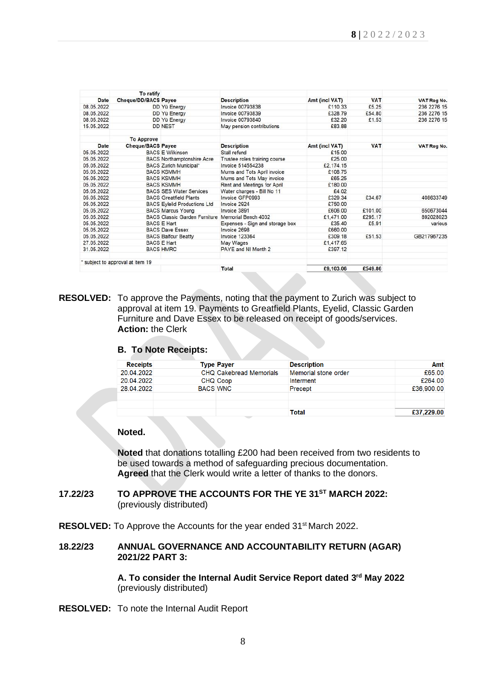|             | To ratify                      |                                      |                                 |                |            |             |
|-------------|--------------------------------|--------------------------------------|---------------------------------|----------------|------------|-------------|
| <b>Date</b> | <b>Cheque/DD/BACS Payee</b>    |                                      | <b>Description</b>              | Amt (incl VAT) | <b>VAT</b> | VAT Reg No. |
| 08.05.2022  |                                | DD Yü Energy                         | <b>Invoice 00793838</b>         | £110.33        | £5.25      | 236 2276 15 |
| 08.05.2022  |                                | DD Yü Energy                         | <b>Invoice 00793839</b>         | £328.79        | £54.80     | 236 2276 15 |
| 08.05.2022  |                                | DD Yü Energy                         | <b>Invoice 00793840</b>         | £32.20         | £1.53      | 236 2276 15 |
| 15.05.2022  |                                | <b>DD NEST</b>                       | May pension contributions       | £83.88         |            |             |
|             | <b>To Approve</b>              |                                      |                                 |                |            |             |
| <b>Date</b> | <b>Cheque/BACS Payee</b>       |                                      | <b>Description</b>              | Amt (incl VAT) | <b>VAT</b> | VAT Reg No. |
| 05.05.2022  |                                | <b>BACS E Wilkinson</b>              | Stall refund                    | £15.00         |            |             |
| 05.05.2022  |                                | <b>BACS Northamptonshire Acre</b>    | Trustee roles training course   | £25.00         |            |             |
| 05.05.2022  |                                | BACS Zurich Municipal*               | Invoice 514554238               | £2.174.15      |            |             |
| 05.05.2022  |                                | <b>BACS KSMMH</b>                    | Mums and Tots April invoice     | £108.75        |            |             |
| 05.05.2022  |                                | <b>BACS KSMMH</b>                    | Mums and Tots May invoice       | £65.25         |            |             |
| 05.05.2022  |                                | <b>BACS KSMMH</b>                    | Rent and Meetings for April     | £180.00        |            |             |
| 05.05.2022  |                                | <b>BACS SES Water Services</b>       | Water charges - Bill No 11      | £4.02          |            |             |
| 05.05.2022  |                                | <b>BACS Greatfield Plants</b>        | Invoice GFP0993                 | £329.34        | £34.67     | 408633749   |
| 05.05.2022  |                                | <b>BACS Eylelid Productions Ltd</b>  | Invoice 2924                    | £750.00        |            |             |
| 05.05.2022  |                                | <b>BACS Marcus Young</b>             | Invoice 3891                    | £606.00        | £101.00    | 650673044   |
| 05.05.2022  |                                | <b>BACS Classic Garden Furniture</b> | Memorial Bench 4032             | £1,471.00      | £295.17    | 892028023   |
| 05.05.2022  |                                | <b>BACS E Hart</b>                   | Expenses - Sign and storage box | £35.40         | £5.91      | various     |
| 05.05.2022  |                                | <b>BACS Dave Essex</b>               | Invoice 2698                    | £660.00        |            |             |
| 05.05.2022  |                                | <b>BACS Balfour Beatty</b>           | <b>Invoice 123364</b>           | £309.18        | £51.53     | GB217967235 |
| 27.05.2022  |                                | <b>BACS E Hart</b>                   | May Wages                       | £1.417.65      |            |             |
| 31.05.2022  |                                | <b>BACS HMRC</b>                     | PAYE and NI Month 2             | £397.12        |            |             |
|             | subject to approval at item 19 |                                      |                                 |                |            |             |
|             |                                |                                      | <b>Total</b>                    | £9,103.06      | £549.86    |             |

**RESOLVED:** To approve the Payments, noting that the payment to Zurich was subject to approval at item 19. Payments to Greatfield Plants, Eyelid, Classic Garden Furniture and Dave Essex to be released on receipt of goods/services. **Action:** the Clerk

#### **B. To Note Receipts:**

| <b>Receipts</b> |                 | <b>Type Payer</b>              | <b>Description</b>   | Amt        |
|-----------------|-----------------|--------------------------------|----------------------|------------|
| 20.04.2022      |                 | <b>CHQ Cakebread Memorials</b> | Memorial stone order | £65.00     |
| 20.04.2022      |                 | <b>CHQ Coop</b>                | Interment            | £264.00    |
| 28.04.2022      | <b>BACS WNC</b> |                                | Precept              | £36,900.00 |
|                 |                 |                                |                      |            |
|                 |                 |                                |                      |            |
|                 |                 |                                | Total                | £37,229.00 |

#### **Noted.**

**Noted** that donations totalling £200 had been received from two residents to be used towards a method of safeguarding precious documentation. **Agreed** that the Clerk would write a letter of thanks to the donors.

### **17.22/23 TO APPROVE THE ACCOUNTS FOR THE YE 31ST MARCH 2022:** (previously distributed)

**RESOLVED:** To Approve the Accounts for the year ended 31<sup>st</sup> March 2022.

### **18.22/23 ANNUAL GOVERNANCE AND ACCOUNTABILITY RETURN (AGAR) 2021/22 PART 3:**

**A. To consider the Internal Audit Service Report dated 3 rd May 2022** (previously distributed)

**RESOLVED:** To note the Internal Audit Report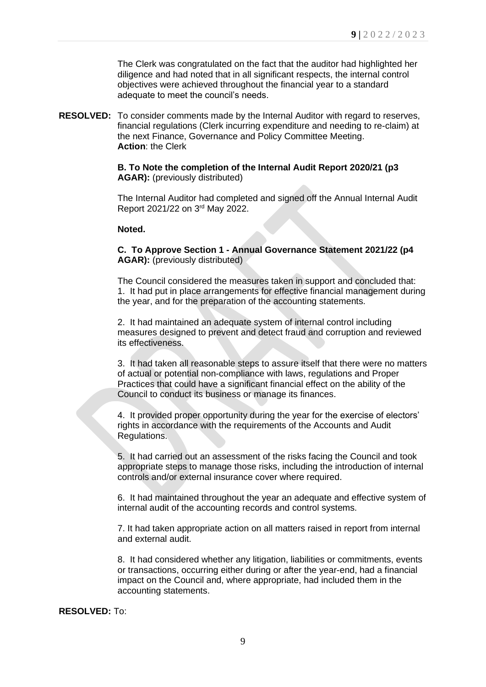The Clerk was congratulated on the fact that the auditor had highlighted her diligence and had noted that in all significant respects, the internal control objectives were achieved throughout the financial year to a standard adequate to meet the council's needs.

**RESOLVED:** To consider comments made by the Internal Auditor with regard to reserves, financial regulations (Clerk incurring expenditure and needing to re-claim) at the next Finance, Governance and Policy Committee Meeting. **Action**: the Clerk

### **B. To Note the completion of the Internal Audit Report 2020/21 (p3 AGAR):** (previously distributed)

The Internal Auditor had completed and signed off the Annual Internal Audit Report 2021/22 on 3rd May 2022.

### **Noted.**

**C. To Approve Section 1 - Annual Governance Statement 2021/22 (p4 AGAR):** (previously distributed)

The Council considered the measures taken in support and concluded that: 1. It had put in place arrangements for effective financial management during the year, and for the preparation of the accounting statements.

2. It had maintained an adequate system of internal control including measures designed to prevent and detect fraud and corruption and reviewed its effectiveness.

3. It had taken all reasonable steps to assure itself that there were no matters of actual or potential non-compliance with laws, regulations and Proper Practices that could have a significant financial effect on the ability of the Council to conduct its business or manage its finances.

4. It provided proper opportunity during the year for the exercise of electors' rights in accordance with the requirements of the Accounts and Audit Regulations.

5. It had carried out an assessment of the risks facing the Council and took appropriate steps to manage those risks, including the introduction of internal controls and/or external insurance cover where required.

6. It had maintained throughout the year an adequate and effective system of internal audit of the accounting records and control systems.

7. It had taken appropriate action on all matters raised in report from internal and external audit.

8. It had considered whether any litigation, liabilities or commitments, events or transactions, occurring either during or after the year-end, had a financial impact on the Council and, where appropriate, had included them in the accounting statements.

**RESOLVED:** To: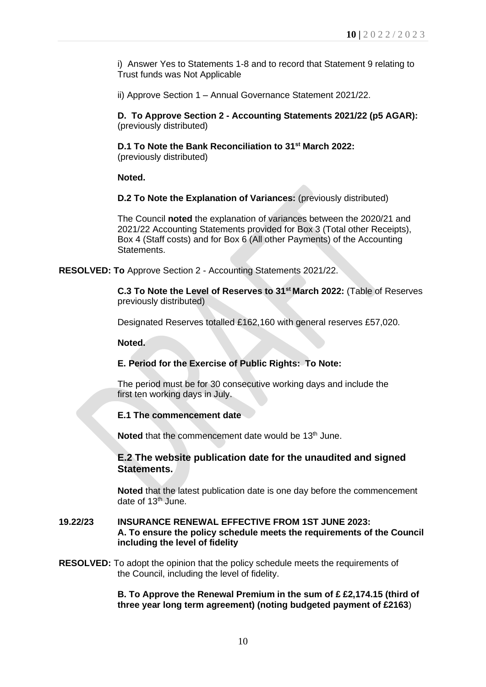i) Answer Yes to Statements 1-8 and to record that Statement 9 relating to Trust funds was Not Applicable

ii) Approve Section 1 – Annual Governance Statement 2021/22.

**D. To Approve Section 2 - Accounting Statements 2021/22 (p5 AGAR):** (previously distributed)

**D.1 To Note the Bank Reconciliation to 31st March 2022:**  (previously distributed)

**Noted.**

**D.2 To Note the Explanation of Variances:** (previously distributed)

The Council **noted** the explanation of variances between the 2020/21 and 2021/22 Accounting Statements provided for Box 3 (Total other Receipts), Box 4 (Staff costs) and for Box 6 (All other Payments) of the Accounting Statements.

**RESOLVED: To** Approve Section 2 - Accounting Statements 2021/22.

**C.3 To Note the Level of Reserves to 31st March 2022:** (Table of Reserves previously distributed)

Designated Reserves totalled £162,160 with general reserves £57,020.

**Noted.**

# **E. Period for the Exercise of Public Rights: To Note:**

The period must be for 30 consecutive working days and include the first ten working days in July.

**E.1 The commencement date** 

Noted that the commencement date would be 13<sup>th</sup> June.

# **E.2 The website publication date for the unaudited and signed Statements.**

**Noted** that the latest publication date is one day before the commencement date of  $13<sup>th</sup>$  June.

### **19.22/23 INSURANCE RENEWAL EFFECTIVE FROM 1ST JUNE 2023: A. To ensure the policy schedule meets the requirements of the Council including the level of fidelity**

**RESOLVED:** To adopt the opinion that the policy schedule meets the requirements of the Council, including the level of fidelity.

> **B. To Approve the Renewal Premium in the sum of £ £2,174.15 (third of three year long term agreement) (noting budgeted payment of £2163**)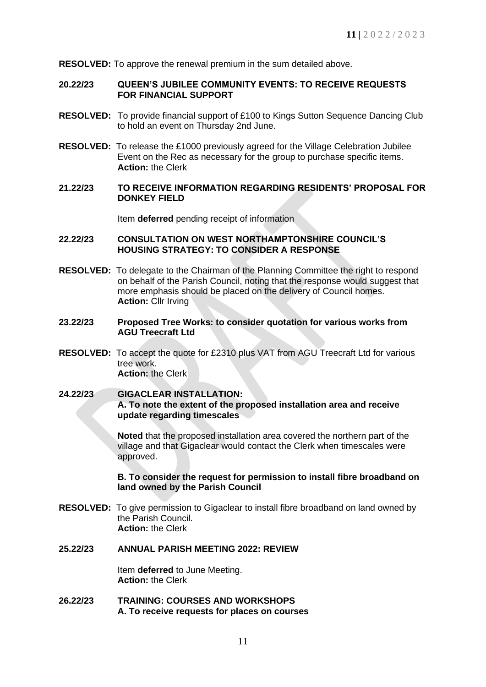**RESOLVED:** To approve the renewal premium in the sum detailed above.

#### **20.22/23 QUEEN'S JUBILEE COMMUNITY EVENTS: TO RECEIVE REQUESTS FOR FINANCIAL SUPPORT**

- **RESOLVED:** To provide financial support of £100 to Kings Sutton Sequence Dancing Club to hold an event on Thursday 2nd June.
- **RESOLVED:** To release the £1000 previously agreed for the Village Celebration Jubilee Event on the Rec as necessary for the group to purchase specific items. **Action:** the Clerk
- **21.22/23 TO RECEIVE INFORMATION REGARDING RESIDENTS' PROPOSAL FOR DONKEY FIELD**

Item **deferred** pending receipt of information

### **22.22/23 CONSULTATION ON WEST NORTHAMPTONSHIRE COUNCIL'S HOUSING STRATEGY: TO CONSIDER A RESPONSE**

- **RESOLVED:** To delegate to the Chairman of the Planning Committee the right to respond on behalf of the Parish Council, noting that the response would suggest that more emphasis should be placed on the delivery of Council homes. **Action:** Cllr Irving
- **23.22/23 Proposed Tree Works: to consider quotation for various works from AGU Treecraft Ltd**
- **RESOLVED:** To accept the quote for £2310 plus VAT from AGU Treecraft Ltd for various tree work. **Action:** the Clerk

# **24.22/23 GIGACLEAR INSTALLATION: A. To note the extent of the proposed installation area and receive update regarding timescales**

**Noted** that the proposed installation area covered the northern part of the village and that Gigaclear would contact the Clerk when timescales were approved.

### **B. To consider the request for permission to install fibre broadband on land owned by the Parish Council**

**RESOLVED:** To give permission to Gigaclear to install fibre broadband on land owned by the Parish Council. **Action:** the Clerk

# **25.22/23 ANNUAL PARISH MEETING 2022: REVIEW**

Item **deferred** to June Meeting. **Action:** the Clerk

**26.22/23 TRAINING: COURSES AND WORKSHOPS A. To receive requests for places on courses**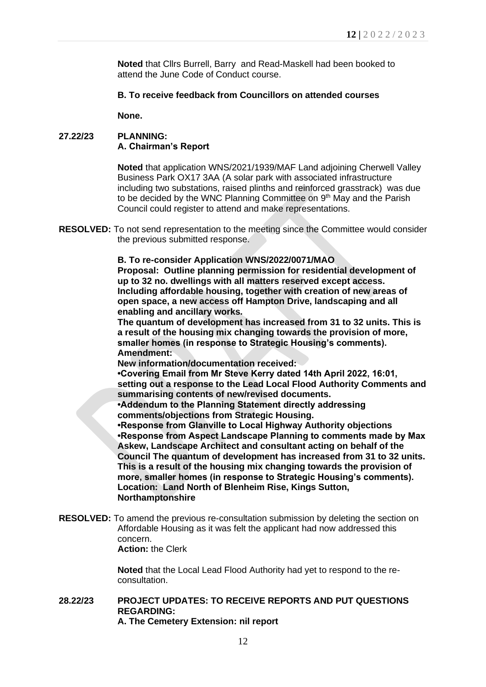**Noted** that Cllrs Burrell, Barry and Read-Maskell had been booked to attend the June Code of Conduct course.

### **B. To receive feedback from Councillors on attended courses**

**None.**

# **27.22/23 PLANNING: A. Chairman's Report**

**Noted** that application WNS/2021/1939/MAF Land adjoining Cherwell Valley Business Park OX17 3AA (A solar park with associated infrastructure including two substations, raised plinths and reinforced grasstrack) was due to be decided by the WNC Planning Committee on 9<sup>th</sup> May and the Parish Council could register to attend and make representations.

**RESOLVED:** To not send representation to the meeting since the Committee would consider the previous submitted response.

**B. To re-consider Application WNS/2022/0071/MAO**

**Proposal: Outline planning permission for residential development of up to 32 no. dwellings with all matters reserved except access. Including affordable housing, together with creation of new areas of open space, a new access off Hampton Drive, landscaping and all enabling and ancillary works.**

**The quantum of development has increased from 31 to 32 units. This is a result of the housing mix changing towards the provision of more, smaller homes (in response to Strategic Housing's comments). Amendment:**

**New information/documentation received:**

**•Covering Email from Mr Steve Kerry dated 14th April 2022, 16:01, setting out a response to the Lead Local Flood Authority Comments and summarising contents of new/revised documents.**

**•Addendum to the Planning Statement directly addressing comments/objections from Strategic Housing.**

**•Response from Glanville to Local Highway Authority objections •Response from Aspect Landscape Planning to comments made by Max Askew, Landscape Architect and consultant acting on behalf of the Council The quantum of development has increased from 31 to 32 units. This is a result of the housing mix changing towards the provision of more, smaller homes (in response to Strategic Housing's comments). Location: Land North of Blenheim Rise, Kings Sutton, Northamptonshire**

**RESOLVED:** To amend the previous re-consultation submission by deleting the section on Affordable Housing as it was felt the applicant had now addressed this concern. **Action:** the Clerk

> **Noted** that the Local Lead Flood Authority had yet to respond to the reconsultation.

# **28.22/23 PROJECT UPDATES: TO RECEIVE REPORTS AND PUT QUESTIONS REGARDING:**

**A. The Cemetery Extension: nil report**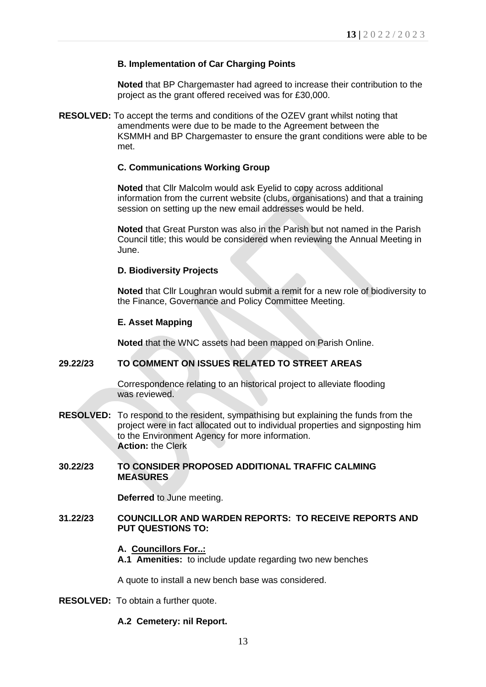### **B. Implementation of Car Charging Points**

**Noted** that BP Chargemaster had agreed to increase their contribution to the project as the grant offered received was for £30,000.

**RESOLVED:** To accept the terms and conditions of the OZEV grant whilst noting that amendments were due to be made to the Agreement between the KSMMH and BP Chargemaster to ensure the grant conditions were able to be met.

# **C. Communications Working Group**

**Noted** that Cllr Malcolm would ask Eyelid to copy across additional information from the current website (clubs, organisations) and that a training session on setting up the new email addresses would be held.

**Noted** that Great Purston was also in the Parish but not named in the Parish Council title; this would be considered when reviewing the Annual Meeting in June.

### **D. Biodiversity Projects**

**Noted** that Cllr Loughran would submit a remit for a new role of biodiversity to the Finance, Governance and Policy Committee Meeting.

### **E. Asset Mapping**

**Noted** that the WNC assets had been mapped on Parish Online.

# **29.22/23 TO COMMENT ON ISSUES RELATED TO STREET AREAS**

Correspondence relating to an historical project to alleviate flooding was reviewed.

**RESOLVED:** To respond to the resident, sympathising but explaining the funds from the project were in fact allocated out to individual properties and signposting him to the Environment Agency for more information. **Action:** the Clerk

### **30.22/23 TO CONSIDER PROPOSED ADDITIONAL TRAFFIC CALMING MEASURES**

**Deferred** to June meeting.

### **31.22/23 COUNCILLOR AND WARDEN REPORTS: TO RECEIVE REPORTS AND PUT QUESTIONS TO:**

#### **A. Councillors For..:**

**A.1 Amenities:** to include update regarding two new benches

A quote to install a new bench base was considered.

**RESOLVED:** To obtain a further quote.

#### **A.2 Cemetery: nil Report.**